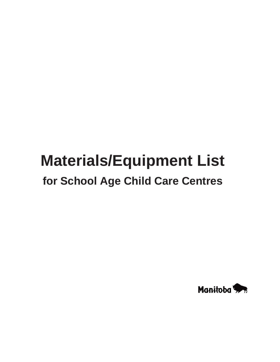# **Materials/Equipment List for School Age Child Care Centres**

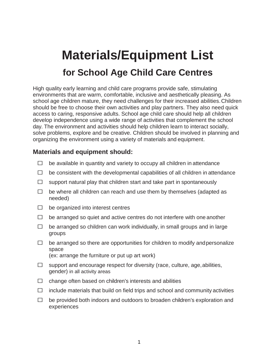# **Materials/Equipment List for School Age Child Care Centres**

High quality early learning and child care programs provide safe, stimulating environments that are warm, comfortable, inclusive and aesthetically pleasing. As school age children mature, they need challenges for their increased abilities.Children should be free to choose their own activities and play partners. They also need quick access to caring, responsive adults. School age child care should help all children develop independence using a wide range of activities that complement the school day. The environment and activities should help children learn to interact socially, solve problems, explore and be creative. Children should be involved in planning and organizing the environment using a variety of materials and equipment.

# **Materials and equipment should:**

- $\Box$  be available in quantity and variety to occupy all children in attendance
- $\Box$  be consistent with the developmental capabilities of all children in attendance
- $\Box$  support natural play that children start and take part in spontaneously
- $\Box$  be where all children can reach and use them by themselves (adapted as needed)
- $\Box$  be organized into interest centres
- $\Box$  be arranged so quiet and active centres do not interfere with one another
- $\Box$  be arranged so children can work individually, in small groups and in large groups
- $\Box$  be arranged so there are opportunities for children to modify and personalize space (ex: arrange the furniture or put up art work)
- $\Box$  support and encourage respect for diversity (race, culture, age, abilities, gender) in all activity areas
- $\Box$  change often based on children's interests and abilities
- $\Box$  include materials that build on field trips and school and community activities
- $\Box$  be provided both indoors and outdoors to broaden children's exploration and experiences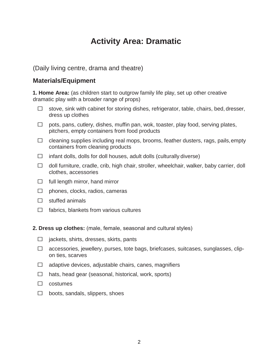# **Activity Area: Dramatic**

(Daily living centre, drama and theatre)

# **Materials/Equipment**

**1. Home Area:** (as children start to outgrow family life play, set up other creative dramatic play with a broader range of props)

- $\Box$  stove, sink with cabinet for storing dishes, refrigerator, table, chairs, bed, dresser, dress up clothes
- $\Box$  pots, pans, cutlery, dishes, muffin pan, wok, toaster, play food, serving plates, pitchers, empty containers from food products
- $\Box$  cleaning supplies including real mops, brooms, feather dusters, rags, pails, empty containers from cleaning products
- $\Box$  infant dolls, dolls for doll houses, adult dolls (culturally diverse)
- $\Box$  doll furniture, cradle, crib, high chair, stroller, wheelchair, walker, baby carrier, doll clothes, accessories
- $\Box$  full length mirror, hand mirror
- $\Box$  phones, clocks, radios, cameras
- $\Box$  stuffed animals
- $\Box$  fabrics, blankets from various cultures
- **2. Dress up clothes:** (male, female, seasonal and cultural styles)
	- $\Box$  jackets, shirts, dresses, skirts, pants
	- □ accessories, jewellery, purses, tote bags, briefcases, suitcases, sunglasses, clipon ties, scarves
	- $\Box$  adaptive devices, adjustable chairs, canes, magnifiers
	- $\Box$  hats, head gear (seasonal, historical, work, sports)
	- $\square$  costumes
	- $\Box$  boots, sandals, slippers, shoes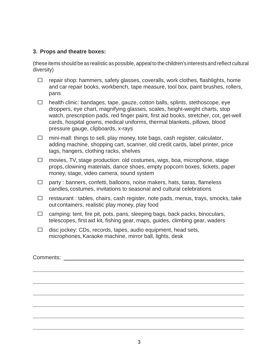#### **3. Props and theatre boxes:**

(theseitems should be as realistic as possible, appeal to the children'sinterestsand reflect cultural diversity)

- $\Box$  repair shop: hammers, safety glasses, coveralls, work clothes, flashlights, home and car repair books, workbench, tape measure, tool box, paint brushes, rollers, pans
- $\Box$  health clinic: bandages, tape, gauze, cotton balls, splints, stethoscope, eye droppers, eye chart, magnifying glasses, scales, height-weight charts, stop watch, prescription pads, red finger paint, first aid books, stretcher, cot, get-well cards, hospital gowns, medical uniforms, thermal blankets, pillows, blood pressure gauge, clipboards, x-rays
- $\Box$  mini-mall: things to sell, play money, tote bags, cash register, calculator, adding machine, shopping cart, scanner, old credit cards, label printer, price tags, hangers, clothing racks, shelves
- $\Box$  movies, TV, stage production: old costumes, wigs, boa, microphone, stage props, clowning materials, dance shoes, empty popcorn boxes, tickets, paper money, stage, video camera, sound system
- $\Box$  party : banners, confetti, balloons, noise makers, hats, tiaras, flameless candles,costumes, invitations to seasonal and cultural celebrations
- $\Box$  restaurant : tables, chairs, cash register, note pads, menus, trays, smocks, take outcontainers, realistic play money, play food
- $\Box$  camping: tent, fire pit, pots, pans, sleeping bags, back packs, binoculars, telescopes, first aid kit, fishing gear, maps, guides, climbing gear, waders
- $\Box$  disc jockey: CDs, records, tapes, audio equipment, head sets, microphones, Karaoke machine, mirror ball, lights, desk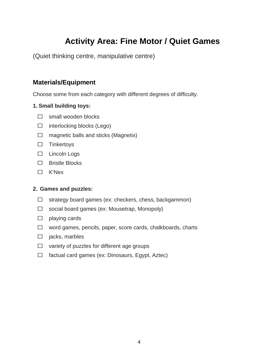# **Activity Area: Fine Motor / Quiet Games**

(Quiet thinking centre, manipulative centre)

# **Materials/Equipment**

Choose some from each category with different degrees of difficulty.

# **1. Small building toys:**

- $\Box$  small wooden blocks
- $\Box$  interlocking blocks (Lego)
- $\Box$  magnetic balls and sticks (Magnetix)
- $\square$  Tinkertoys
- □ Lincoln Logs
- $\Box$  Bristle Blocks
- $\Box$  K'Nex

## **2. Games and puzzles:**

- $\Box$  strategy board games (ex: checkers, chess, backgammon)
- $\Box$  social board games (ex: Mousetrap, Monopoly)
- $\square$  playing cards
- $\Box$  word games, pencils, paper, score cards, chalkboards, charts
- $\Box$  jacks, marbles
- $\Box$  variety of puzzles for different age groups
- $\Box$  factual card games (ex: Dinosaurs, Egypt, Aztec)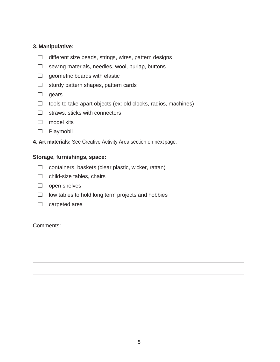#### **3. Manipulative:**

- $\Box$  different size beads, strings, wires, pattern designs
- $\Box$  sewing materials, needles, wool, burlap, buttons
- $\Box$  geometric boards with elastic
- $\Box$  sturdy pattern shapes, pattern cards
- $\square$  gears
- $\Box$  tools to take apart objects (ex: old clocks, radios, machines)
- $\Box$  straws, sticks with connectors
- $\square$  model kits
- □ Playmobil
- **4. Art materials:** See Creative Activity Area section on next page.

#### **Storage, furnishings, space:**

- $\Box$  containers, baskets (clear plastic, wicker, rattan)
- $\Box$  child-size tables, chairs
- $\square$  open shelves
- $\Box$  low tables to hold long term projects and hobbies
- $\Box$  carpeted area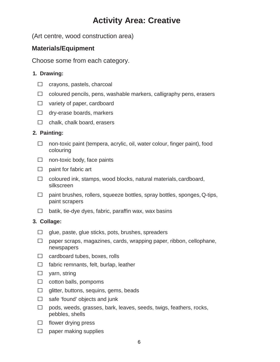# **Activity Area: Creative**

(Art centre, wood construction area)

# **Materials/Equipment**

Choose some from each category.

# **1. Drawing:**

- $\Box$  crayons, pastels, charcoal
- $\Box$  coloured pencils, pens, washable markers, calligraphy pens, erasers
- $\Box$  variety of paper, cardboard
- $\Box$  dry-erase boards, markers
- $\Box$  chalk, chalk board, erasers

# **2. Painting:**

- $\Box$  non-toxic paint (tempera, acrylic, oil, water colour, finger paint), food colouring
- $\Box$  non-toxic body, face paints
- $\Box$  paint for fabric art
- $\Box$  coloured ink, stamps, wood blocks, natural materials, cardboard, silkscreen
- $\Box$  paint brushes, rollers, squeeze bottles, spray bottles, sponges, Q-tips, paint scrapers
- $\Box$  batik, tie-dye dyes, fabric, paraffin wax, wax basins

# **3. Collage:**

- $\Box$  glue, paste, glue sticks, pots, brushes, spreaders
- $\Box$  paper scraps, magazines, cards, wrapping paper, ribbon, cellophane, newspapers
- $\Box$  cardboard tubes, boxes, rolls
- $\Box$  fabric remnants, felt, burlap, leather
- $\square$  yarn, string
- $\Box$  cotton balls, pompoms
- $\Box$  glitter, buttons, sequins, gems, beads
- $\Box$  safe 'found' objects and junk
- $\Box$  pods, weeds, grasses, bark, leaves, seeds, twigs, feathers, rocks, pebbles, shells
- $\Box$  flower drying press
- $\Box$  paper making supplies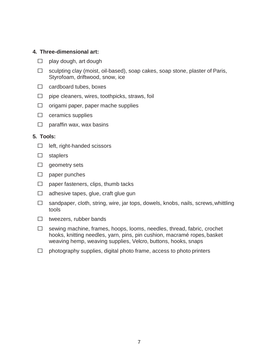#### **4. Three-dimensional art:**

- $\Box$  play dough, art dough
- $\Box$  sculpting clay (moist, oil-based), soap cakes, soap stone, plaster of Paris, Styrofoam, driftwood, snow, ice
- $\Box$  cardboard tubes, boxes
- $\Box$  pipe cleaners, wires, toothpicks, straws, foil
- $\Box$  origami paper, paper mache supplies
- $\Box$  ceramics supplies
- $\Box$  paraffin wax, wax basins

#### **5. Tools:**

- $\Box$  left, right-handed scissors
- $\square$  staplers
- $\Box$  geometry sets
- $\square$  paper punches
- $\Box$  paper fasteners, clips, thumb tacks
- $\Box$  adhesive tapes, glue, craft glue gun
- $\Box$  sandpaper, cloth, string, wire, jar tops, dowels, knobs, nails, screws, whittling tools
- $\Box$  tweezers, rubber bands
- $\Box$  sewing machine, frames, hoops, looms, needles, thread, fabric, crochet hooks, knitting needles, yarn, pins, pin cushion, macramé ropes, basket weaving hemp, weaving supplies, Velcro, buttons, hooks, snaps
- $\Box$  photography supplies, digital photo frame, access to photo printers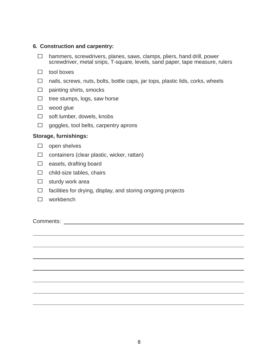#### **6. Construction and carpentry:**

- $\Box$  hammers, screwdrivers, planes, saws, clamps, pliers, hand drill, power screwdriver, metal snips, T-square, levels, sand paper, tape measure, rulers
- $\Box$  tool boxes
- $\Box$  nails, screws, nuts, bolts, bottle caps, jar tops, plastic lids, corks, wheels
- $\Box$  painting shirts, smocks
- $\Box$  tree stumps, logs, saw horse
- $\square$  wood glue
- $\Box$  soft lumber, dowels, knobs
- $\Box$  goggles, tool belts, carpentry aprons

#### **Storage, furnishings:**

- $\Box$  open shelves
- $\Box$  containers (clear plastic, wicker, rattan)
- $\Box$  easels, drafting board
- $\Box$  child-size tables, chairs
- $\Box$  sturdy work area
- $\Box$  facilities for drying, display, and storing ongoing projects
- $\square$  workbench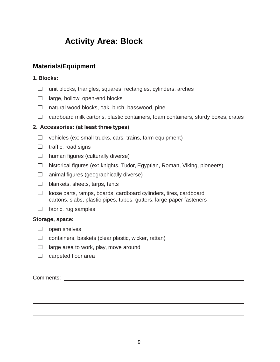# **Activity Area: Block**

# **Materials/Equipment**

## **1. Blocks:**

- $\Box$  unit blocks, triangles, squares, rectangles, cylinders, arches
- $\Box$  large, hollow, open-end blocks
- $\Box$  natural wood blocks, oak, birch, basswood, pine
- $\Box$  cardboard milk cartons, plastic containers, foam containers, sturdy boxes, crates

# **2. Accessories: (at least three types)**

- $\Box$  vehicles (ex: small trucks, cars, trains, farm equipment)
- $\Box$  traffic, road signs
- $\Box$  human figures (culturally diverse)
- $\Box$  historical figures (ex: knights, Tudor, Egyptian, Roman, Viking, pioneers)
- $\Box$  animal figures (geographically diverse)
- $\Box$  blankets, sheets, tarps, tents
- $\Box$  loose parts, ramps, boards, cardboard cylinders, tires, cardboard cartons, slabs, plastic pipes, tubes, gutters, large paper fasteners
- $\Box$  fabric, rug samples

## **Storage, space:**

- $\square$  open shelves
- $\Box$  containers, baskets (clear plastic, wicker, rattan)
- $\Box$  large area to work, play, move around
- $\Box$  carpeted floor area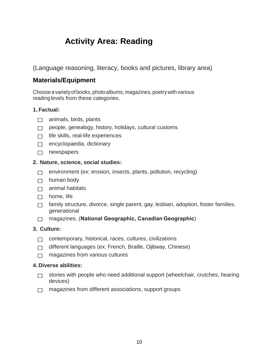# **Activity Area: Reading**

(Language reasoning, literacy, books and pictures, library area)

# **Materials/Equipment**

Choose a varietyof books, photo albums, magazines, poetrywith various readinglevels from these categories.

# **1. Factual:**

- $\Box$  animals, birds, plants
- $\Box$  people, genealogy, history, holidays, cultural customs
- $\Box$  life skills, real-life experiences
- $\Box$  encyclopaedia, dictionary
- $\Box$  newspapers

## **2. Nature, science, social studies:**

- $\Box$  environment (ex: erosion, insects, plants, pollution, recycling)
- $\Box$  human body
- $\Box$  animal habitats
- $\Box$  home, life
- $\Box$  family structure, divorce, single parent, gay, lesbian, adoption, foster families, generational
- ⃞ magazines, (**National Geographic, Canadian Geographic**)

## **3. Culture:**

- $\Box$  contemporary, historical, races, cultures, civilizations
- □ different languages (ex: French, Braille, Ojibway, Chinese)
- $\Box$  magazines from various cultures

#### **4. Diverse abilities:**

- $\Box$  stories with people who need additional support (wheelchair, crutches, hearing devices)
- $\Box$  magazines from different associations, support groups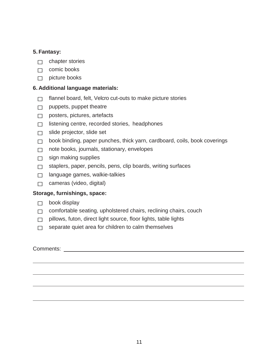## **5. Fantasy:**

- $\Box$  chapter stories
- $\Box$  comic books
- $\Box$  picture books

# **6. Additional language materials:**

- $\Box$  flannel board, felt, Velcro cut-outs to make picture stories
- $\Box$  puppets, puppet theatre
- $\Box$  posters, pictures, artefacts
- $\Box$  listening centre, recorded stories, headphones
- $\Box$  slide projector, slide set
- $\Box$  book binding, paper punches, thick yarn, cardboard, coils, book coverings
- $\Box$  note books, journals, stationary, envelopes
- $\Box$  sign making supplies
- $\Box$  staplers, paper, pencils, pens, clip boards, writing surfaces
- $\Box$  language games, walkie-talkies
- $\Box$  cameras (video, digital)

# **Storage, furnishings, space:**

- $\Box$  book display
- $\Box$  comfortable seating, upholstered chairs, reclining chairs, couch
- $\Box$  pillows, futon, direct light source, floor lights, table lights
- $\Box$  separate quiet area for children to calm themselves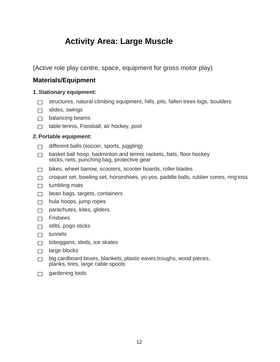# **Activity Area: Large Muscle**

(Active role play centre, space, equipment for gross motor play)

# **Materials/Equipment**

# **1.Stationary equipment:**

- $\Box$  structures, natural climbing equipment, hills, pits, fallen trees logs, boulders
- $\Box$  slides, swings
- $\Box$  balancing beams
- $\Box$  table tennis, Foosball, air hockey, pool

# **2. Portable equipment:**

- $\Box$  different balls (soccer, sports, juggling)
- $\Box$  basket ball hoop, badminton and tennis rackets, bats, floor hockey sticks, nets, punching bag, protective gear
- $\Box$  bikes, wheel barrow, scooters, scooter boards, roller blades
- $\Box$  croquet set, bowling set, horseshoes, yo-yos, paddle balls, rubber cones, ring toss
- $\Box$  tumbling mats
- $\Box$  bean bags, targets, containers
- $\Box$  hula hoops, jump ropes
- $\Box$  parachutes, kites, gliders
- $\Box$  Frisbees
- $\Box$  stilts, pogo sticks
- $\Box$  tunnels
- $\Box$  toboggans, sleds, ice skates
- $\Box$  large blocks
- $\Box$  big cardboard boxes, blankets, plastic eaves troughs, wood pieces, planks, tires, large cable spools
- $\Box$  gardening tools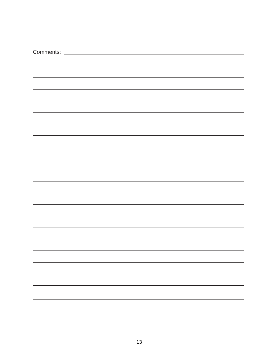| Comments: |  |
|-----------|--|
|           |  |
|           |  |
|           |  |
|           |  |
|           |  |
|           |  |
|           |  |
|           |  |
|           |  |
|           |  |
|           |  |
|           |  |
|           |  |
|           |  |
|           |  |
|           |  |
|           |  |
|           |  |
|           |  |
|           |  |
|           |  |
|           |  |
|           |  |
|           |  |
|           |  |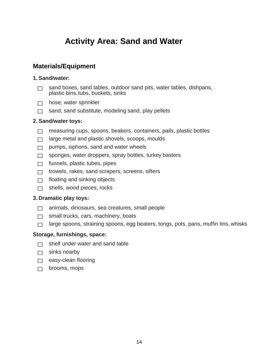# **Activity Area: Sand and Water**

# **Materials/Equipment**

#### **1.Sand/water:**

- $\Box$  sand boxes, sand tables, outdoor sand pits, water tables, dishpans, plastic bins,tubs, buckets, sinks
- $\Box$  hose, water sprinkler
- $\Box$  sand, sand substitute, modeling sand, play pellets

#### **2. Sand/water toys:**

- $\Box$  measuring cups, spoons, beakers, containers, pails, plastic bottles
- $\Box$  large metal and plastic shovels, scoops, moulds
- $\Box$  pumps, siphons, sand and water wheels
- $\Box$  sponges, water droppers, spray bottles, turkey basters
- $\Box$  funnels, plastic tubes, pipes
- $\Box$  trowels, rakes, sand scrapers, screens, sifters
- $\Box$  floating and sinking objects
- $\Box$  shells, wood pieces, rocks

## **3. Dramatic play toys:**

- $\Box$  animals, dinosaurs, sea creatures, small people
- $\Box$  small trucks, cars, machinery, boats
- $\Box$  large spoons, straining spoons, egg beaters, tongs, pots, pans, muffin tins, whisks

#### **Storage, furnishings, space:**

- $\Box$  shelf under water and sand table
- $\Box$  sinks nearby
- $\Box$  easy-clean flooring
- $\Box$  brooms, mops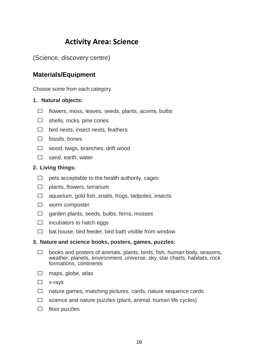# **Activity Area: Science**

(Science, discovery centre)

# **Materials/Equipment**

Choose some from each category.

#### **1. Natural objects:**

- $\Box$  flowers, moss, leaves, seeds, plants, acorns, bulbs
- $\Box$  shells, rocks, pine cones
- $\Box$  bird nests, insect nests, feathers
- $\Box$  fossils, bones
- $\Box$  wood, twigs, branches, drift wood
- $\Box$  sand, earth, water

#### **2. Living things:**

- $\Box$  pets acceptable to the health authority, cages
- $\Box$  plants, flowers, terrarium
- $\Box$  aquarium, gold fish, snails, frogs, tadpoles, insects
- $\Box$  worm composter
- $\Box$  garden plants, seeds, bulbs, ferns, mosses
- $\Box$  incubators to hatch eggs
- $\Box$  bat house, bird feeder, bird bath visible from window

#### **3. Nature and science books, posters, games, puzzles:**

- $\Box$  books and posters of animals, plants, birds, fish, human body, seasons, weather, planets, environment, universe, sky, star charts, habitats, rock formations, continents
- $\Box$  maps, globe, atlas
- □ x-rays
- $\Box$  nature games, matching pictures, cards, nature sequence cards
- $\Box$  science and nature puzzles (plant, animal, human life cycles)
- $\Box$  floor puzzles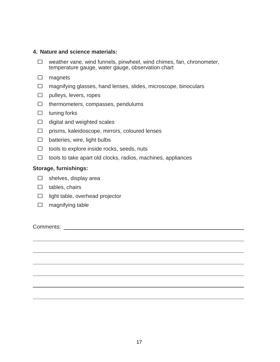#### **4. Nature and science materials:**

- $\Box$  weather vane, wind funnels, pinwheel, wind chimes, fan, chronometer, temperature gauge, water gauge, observation chart
- $\square$  magnets
- □ magnifying glasses, hand lenses, slides, microscope, binoculars
- $\Box$  pulleys, levers, ropes
- $\Box$  thermometers, compasses, pendulums
- $\square$  tuning forks
- $\Box$  digital and weighted scales
- $\Box$  prisms, kaleidoscope, mirrors, coloured lenses
- $\square$  batteries, wire, light bulbs
- $\Box$  tools to explore inside rocks, seeds, nuts
- $\Box$  tools to take apart old clocks, radios, machines, appliances

#### **Storage, furnishings:**

- $\Box$  shelves, display area
- $\Box$  tables, chairs
- $\Box$  light table, overhead projector
- $\square$  magnifying table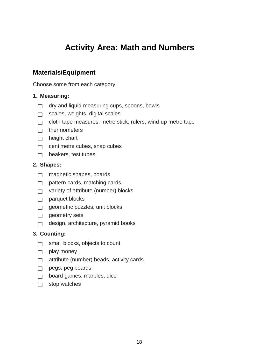# **Activity Area: Math and Numbers**

# **Materials/Equipment**

Choose some from each category.

#### **1. Measuring:**

- $\Box$  dry and liquid measuring cups, spoons, bowls
- $\Box$  scales, weights, digital scales
- $\Box$  cloth tape measures, metre stick, rulers, wind-up metre tape
- $\Box$  thermometers
- $\Box$  height chart
- $\Box$  centimetre cubes, snap cubes
- $\Box$  beakers, test tubes

#### **2. Shapes:**

- $\Box$  magnetic shapes, boards
- $\Box$  pattern cards, matching cards
- $\Box$  variety of attribute (number) blocks
- $\Box$  parquet blocks
- $\Box$  geometric puzzles, unit blocks
- $\Box$  geometry sets
- $\Box$  design, architecture, pyramid books

## **3. Counting:**

- $\Box$  small blocks, objects to count
- $\Box$  play money
- $\Box$  attribute (number) beads, activity cards
- $\Box$  pegs, peg boards
- $\Box$  board games, marbles, dice
- $\Box$  stop watches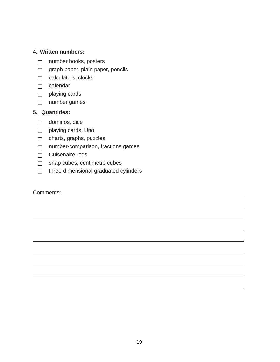#### **4. Written numbers:**

- □ number books, posters
- $\Box$  graph paper, plain paper, pencils
- $\Box$  calculators, clocks
- □ calendar
- $\Box$  playing cards
- □ number games

# **5. Quantities:**

- $\Box$  dominos, dice
- playing cards, Uno
- $\Box$  charts, graphs, puzzles
- $\Box$  number-comparison, fractions games
- □ Cuisenaire rods
- $\Box$  snap cubes, centimetre cubes
- $\Box$  three-dimensional graduated cylinders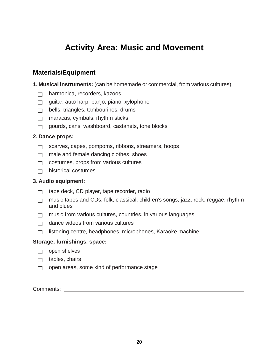# **Activity Area: Music and Movement**

# **Materials/Equipment**

- **1. Musical instruments:** (can be homemade or commercial, from various cultures)
	- ⃞ harmonica, recorders, kazoos
	- $\Box$  guitar, auto harp, banjo, piano, xylophone
	- $\Box$  bells, triangles, tambourines, drums
	- $\Box$  maracas, cymbals, rhythm sticks
	- $\Box$  gourds, cans, washboard, castanets, tone blocks

#### **2. Dance props:**

- $\Box$  scarves, capes, pompoms, ribbons, streamers, hoops
- $\Box$  male and female dancing clothes, shoes
- $\Box$  costumes, props from various cultures
- $\Box$  historical costumes

#### **3. Audio equipment:**

- $\Box$  tape deck, CD player, tape recorder, radio
- $\Box$  music tapes and CDs, folk, classical, children's songs, jazz, rock, reggae, rhythm and blues
- $\Box$  music from various cultures, countries, in various languages
- $\Box$  dance videos from various cultures
- $\Box$  listening centre, headphones, microphones, Karaoke machine

#### **Storage, furnishings, space:**

- $\Box$  open shelves
- $\Box$  tables, chairs
- $\Box$  open areas, some kind of performance stage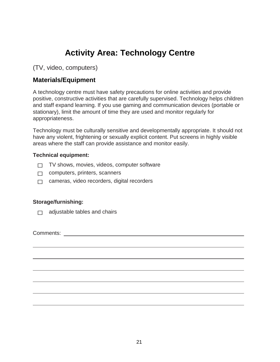# **Activity Area: Technology Centre**

(TV, video, computers)

# **Materials/Equipment**

A technology centre must have safety precautions for online activities and provide positive, constructive activities that are carefully supervised. Technology helps children and staff expand learning. If you use gaming and communication devices (portable or stationary), limit the amount of time they are used and monitor regularly for appropriateness.

Technology must be culturally sensitive and developmentally appropriate. It should not have any violent, frightening or sexually explicit content. Put screens in highly visible areas where the staff can provide assistance and monitor easily.

#### **Technical equipment:**

- $\Box$  TV shows, movies, videos, computer software
- $\Box$  computers, printers, scanners
- cameras, video recorders, digital recorders

## **Storage/furnishing:**

 $\Box$  adjustable tables and chairs